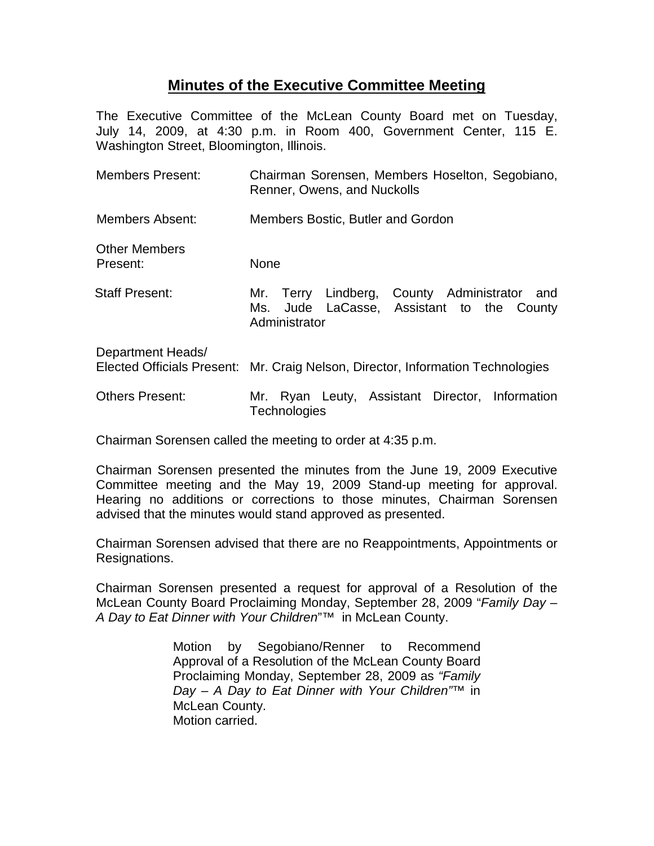## **Minutes of the Executive Committee Meeting**

The Executive Committee of the McLean County Board met on Tuesday, July 14, 2009, at 4:30 p.m. in Room 400, Government Center, 115 E. Washington Street, Bloomington, Illinois.

| <b>Members Present:</b>          | Chairman Sorensen, Members Hoselton, Segobiano,<br>Renner, Owens, and Nuckolls                                      |
|----------------------------------|---------------------------------------------------------------------------------------------------------------------|
| Members Absent:                  | Members Bostic, Butler and Gordon                                                                                   |
| <b>Other Members</b><br>Present: | <b>None</b>                                                                                                         |
| <b>Staff Present:</b>            | Terry Lindberg, County Administrator<br>and<br>Mr.<br>Jude LaCasse, Assistant to the County<br>Ms.<br>Administrator |
| Department Heads/                | Elected Officials Present: Mr. Craig Nelson, Director, Information Technologies                                     |
| <b>Others Present:</b>           | Ryan Leuty, Assistant Director, Information<br>Mr.<br><b>Technologies</b>                                           |

Chairman Sorensen called the meeting to order at 4:35 p.m.

Chairman Sorensen presented the minutes from the June 19, 2009 Executive Committee meeting and the May 19, 2009 Stand-up meeting for approval. Hearing no additions or corrections to those minutes, Chairman Sorensen advised that the minutes would stand approved as presented.

Chairman Sorensen advised that there are no Reappointments, Appointments or Resignations.

Chairman Sorensen presented a request for approval of a Resolution of the McLean County Board Proclaiming Monday, September 28, 2009 "*Family Day – A Day to Eat Dinner with Your Children*"™ in McLean County.

> Motion by Segobiano/Renner to Recommend Approval of a Resolution of the McLean County Board Proclaiming Monday, September 28, 2009 as *"Family Day – A Day to Eat Dinner with Your Children"*™ in McLean County. Motion carried.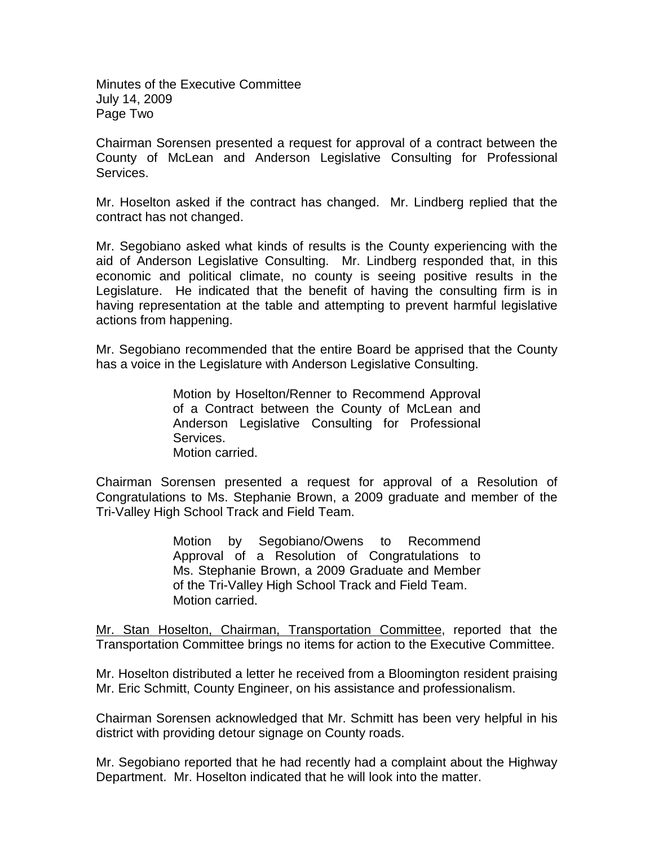Minutes of the Executive Committee July 14, 2009 Page Two

Chairman Sorensen presented a request for approval of a contract between the County of McLean and Anderson Legislative Consulting for Professional Services.

Mr. Hoselton asked if the contract has changed. Mr. Lindberg replied that the contract has not changed.

Mr. Segobiano asked what kinds of results is the County experiencing with the aid of Anderson Legislative Consulting. Mr. Lindberg responded that, in this economic and political climate, no county is seeing positive results in the Legislature. He indicated that the benefit of having the consulting firm is in having representation at the table and attempting to prevent harmful legislative actions from happening.

Mr. Segobiano recommended that the entire Board be apprised that the County has a voice in the Legislature with Anderson Legislative Consulting.

> Motion by Hoselton/Renner to Recommend Approval of a Contract between the County of McLean and Anderson Legislative Consulting for Professional Services. Motion carried.

Chairman Sorensen presented a request for approval of a Resolution of Congratulations to Ms. Stephanie Brown, a 2009 graduate and member of the Tri-Valley High School Track and Field Team.

> Motion by Segobiano/Owens to Recommend Approval of a Resolution of Congratulations to Ms. Stephanie Brown, a 2009 Graduate and Member of the Tri-Valley High School Track and Field Team. Motion carried.

Mr. Stan Hoselton, Chairman, Transportation Committee, reported that the Transportation Committee brings no items for action to the Executive Committee.

Mr. Hoselton distributed a letter he received from a Bloomington resident praising Mr. Eric Schmitt, County Engineer, on his assistance and professionalism.

Chairman Sorensen acknowledged that Mr. Schmitt has been very helpful in his district with providing detour signage on County roads.

Mr. Segobiano reported that he had recently had a complaint about the Highway Department. Mr. Hoselton indicated that he will look into the matter.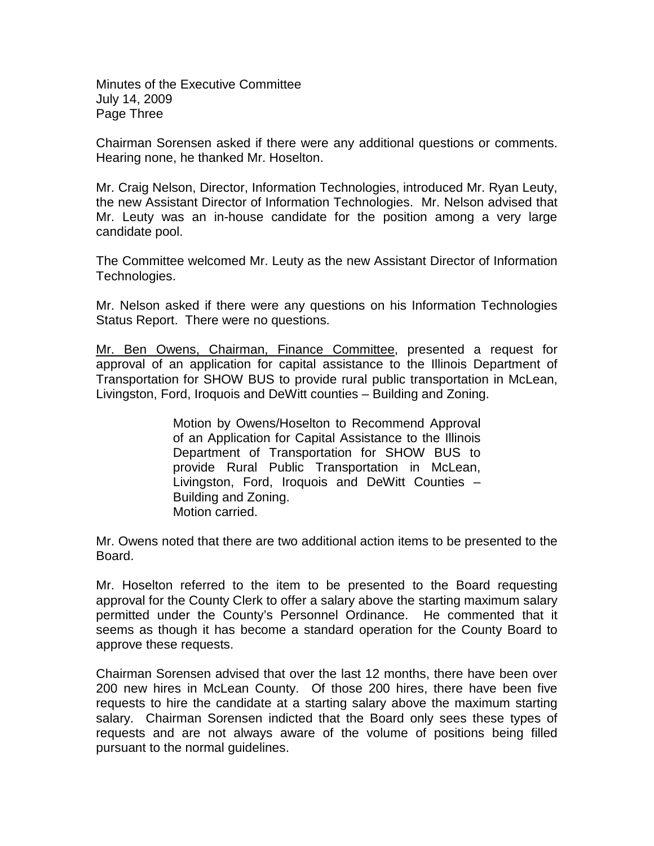Minutes of the Executive Committee July 14, 2009 Page Three

Chairman Sorensen asked if there were any additional questions or comments. Hearing none, he thanked Mr. Hoselton.

Mr. Craig Nelson, Director, Information Technologies, introduced Mr. Ryan Leuty, the new Assistant Director of Information Technologies. Mr. Nelson advised that Mr. Leuty was an in-house candidate for the position among a very large candidate pool.

The Committee welcomed Mr. Leuty as the new Assistant Director of Information Technologies.

Mr. Nelson asked if there were any questions on his Information Technologies Status Report. There were no questions.

Mr. Ben Owens, Chairman, Finance Committee, presented a request for approval of an application for capital assistance to the Illinois Department of Transportation for SHOW BUS to provide rural public transportation in McLean, Livingston, Ford, Iroquois and DeWitt counties – Building and Zoning.

> Motion by Owens/Hoselton to Recommend Approval of an Application for Capital Assistance to the Illinois Department of Transportation for SHOW BUS to provide Rural Public Transportation in McLean, Livingston, Ford, Iroquois and DeWitt Counties – Building and Zoning. Motion carried.

Mr. Owens noted that there are two additional action items to be presented to the Board.

Mr. Hoselton referred to the item to be presented to the Board requesting approval for the County Clerk to offer a salary above the starting maximum salary permitted under the County's Personnel Ordinance. He commented that it seems as though it has become a standard operation for the County Board to approve these requests.

Chairman Sorensen advised that over the last 12 months, there have been over 200 new hires in McLean County. Of those 200 hires, there have been five requests to hire the candidate at a starting salary above the maximum starting salary. Chairman Sorensen indicted that the Board only sees these types of requests and are not always aware of the volume of positions being filled pursuant to the normal guidelines.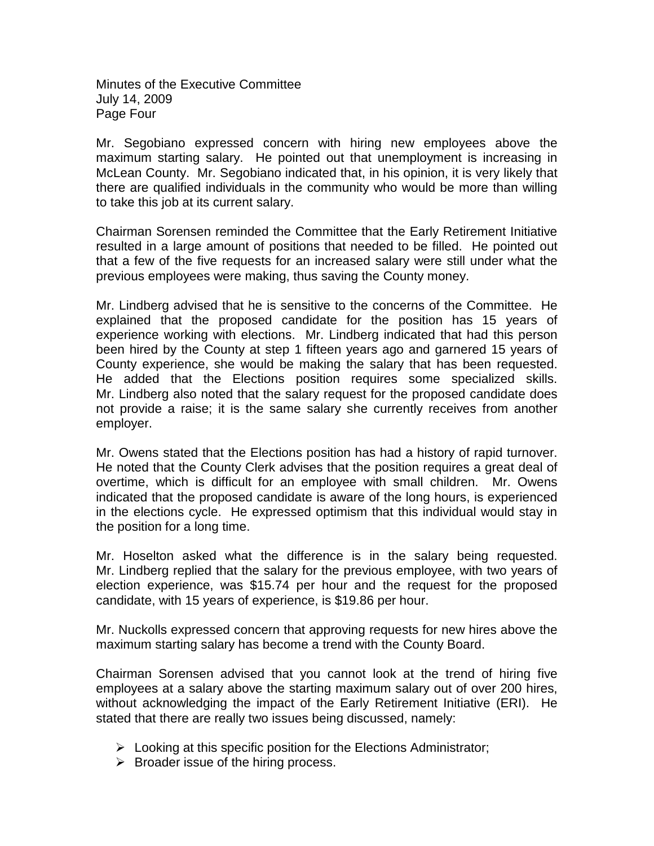Minutes of the Executive Committee July 14, 2009 Page Four

Mr. Segobiano expressed concern with hiring new employees above the maximum starting salary. He pointed out that unemployment is increasing in McLean County. Mr. Segobiano indicated that, in his opinion, it is very likely that there are qualified individuals in the community who would be more than willing to take this job at its current salary.

Chairman Sorensen reminded the Committee that the Early Retirement Initiative resulted in a large amount of positions that needed to be filled. He pointed out that a few of the five requests for an increased salary were still under what the previous employees were making, thus saving the County money.

Mr. Lindberg advised that he is sensitive to the concerns of the Committee. He explained that the proposed candidate for the position has 15 years of experience working with elections. Mr. Lindberg indicated that had this person been hired by the County at step 1 fifteen years ago and garnered 15 years of County experience, she would be making the salary that has been requested. He added that the Elections position requires some specialized skills. Mr. Lindberg also noted that the salary request for the proposed candidate does not provide a raise; it is the same salary she currently receives from another employer.

Mr. Owens stated that the Elections position has had a history of rapid turnover. He noted that the County Clerk advises that the position requires a great deal of overtime, which is difficult for an employee with small children. Mr. Owens indicated that the proposed candidate is aware of the long hours, is experienced in the elections cycle. He expressed optimism that this individual would stay in the position for a long time.

Mr. Hoselton asked what the difference is in the salary being requested. Mr. Lindberg replied that the salary for the previous employee, with two years of election experience, was \$15.74 per hour and the request for the proposed candidate, with 15 years of experience, is \$19.86 per hour.

Mr. Nuckolls expressed concern that approving requests for new hires above the maximum starting salary has become a trend with the County Board.

Chairman Sorensen advised that you cannot look at the trend of hiring five employees at a salary above the starting maximum salary out of over 200 hires, without acknowledging the impact of the Early Retirement Initiative (ERI). He stated that there are really two issues being discussed, namely:

- $\triangleright$  Looking at this specific position for the Elections Administrator;
- $\triangleright$  Broader issue of the hiring process.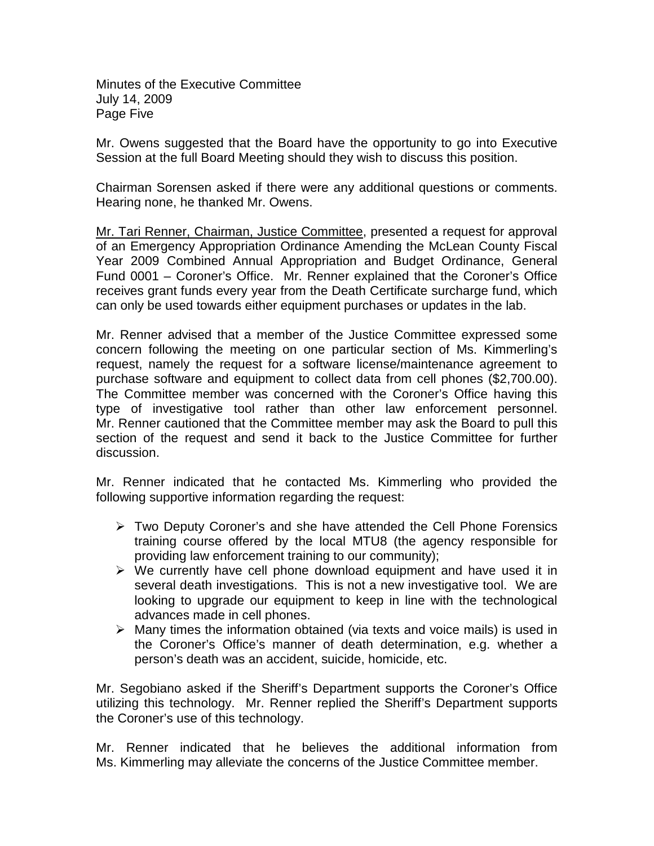Minutes of the Executive Committee July 14, 2009 Page Five

Mr. Owens suggested that the Board have the opportunity to go into Executive Session at the full Board Meeting should they wish to discuss this position.

Chairman Sorensen asked if there were any additional questions or comments. Hearing none, he thanked Mr. Owens.

Mr. Tari Renner, Chairman, Justice Committee, presented a request for approval of an Emergency Appropriation Ordinance Amending the McLean County Fiscal Year 2009 Combined Annual Appropriation and Budget Ordinance, General Fund 0001 – Coroner's Office. Mr. Renner explained that the Coroner's Office receives grant funds every year from the Death Certificate surcharge fund, which can only be used towards either equipment purchases or updates in the lab.

Mr. Renner advised that a member of the Justice Committee expressed some concern following the meeting on one particular section of Ms. Kimmerling's request, namely the request for a software license/maintenance agreement to purchase software and equipment to collect data from cell phones (\$2,700.00). The Committee member was concerned with the Coroner's Office having this type of investigative tool rather than other law enforcement personnel. Mr. Renner cautioned that the Committee member may ask the Board to pull this section of the request and send it back to the Justice Committee for further discussion.

Mr. Renner indicated that he contacted Ms. Kimmerling who provided the following supportive information regarding the request:

- $\triangleright$  Two Deputy Coroner's and she have attended the Cell Phone Forensics training course offered by the local MTU8 (the agency responsible for providing law enforcement training to our community);
- $\triangleright$  We currently have cell phone download equipment and have used it in several death investigations. This is not a new investigative tool. We are looking to upgrade our equipment to keep in line with the technological advances made in cell phones.
- $\triangleright$  Many times the information obtained (via texts and voice mails) is used in the Coroner's Office's manner of death determination, e.g. whether a person's death was an accident, suicide, homicide, etc.

Mr. Segobiano asked if the Sheriff's Department supports the Coroner's Office utilizing this technology. Mr. Renner replied the Sheriff's Department supports the Coroner's use of this technology.

Mr. Renner indicated that he believes the additional information from Ms. Kimmerling may alleviate the concerns of the Justice Committee member.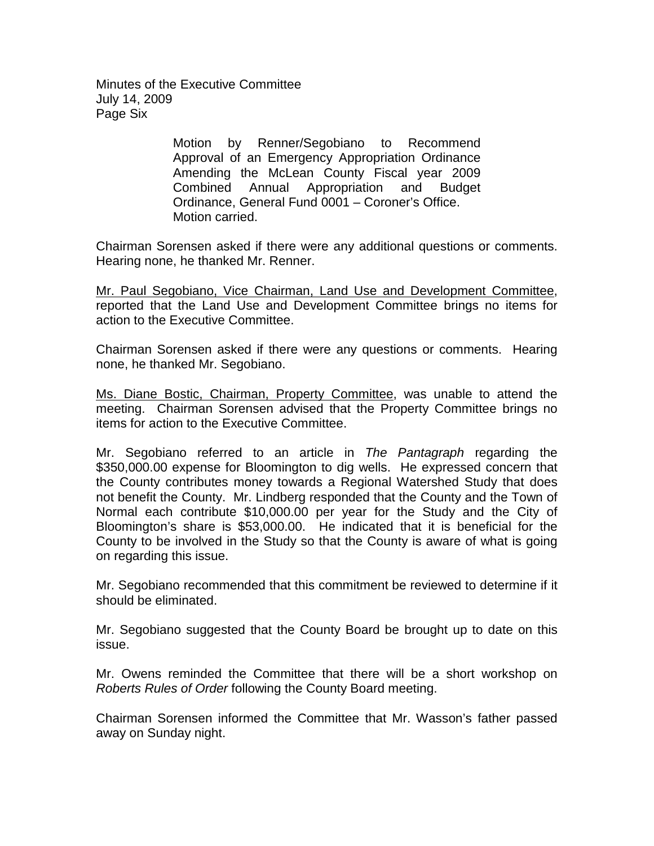Minutes of the Executive Committee July 14, 2009 Page Six

> Motion by Renner/Segobiano to Recommend Approval of an Emergency Appropriation Ordinance Amending the McLean County Fiscal year 2009 Combined Annual Appropriation and Budget Ordinance, General Fund 0001 – Coroner's Office. Motion carried.

Chairman Sorensen asked if there were any additional questions or comments. Hearing none, he thanked Mr. Renner.

Mr. Paul Segobiano, Vice Chairman, Land Use and Development Committee, reported that the Land Use and Development Committee brings no items for action to the Executive Committee.

Chairman Sorensen asked if there were any questions or comments. Hearing none, he thanked Mr. Segobiano.

Ms. Diane Bostic, Chairman, Property Committee, was unable to attend the meeting. Chairman Sorensen advised that the Property Committee brings no items for action to the Executive Committee.

Mr. Segobiano referred to an article in *The Pantagraph* regarding the \$350,000.00 expense for Bloomington to dig wells. He expressed concern that the County contributes money towards a Regional Watershed Study that does not benefit the County. Mr. Lindberg responded that the County and the Town of Normal each contribute \$10,000.00 per year for the Study and the City of Bloomington's share is \$53,000.00. He indicated that it is beneficial for the County to be involved in the Study so that the County is aware of what is going on regarding this issue.

Mr. Segobiano recommended that this commitment be reviewed to determine if it should be eliminated.

Mr. Segobiano suggested that the County Board be brought up to date on this issue.

Mr. Owens reminded the Committee that there will be a short workshop on *Roberts Rules of Order* following the County Board meeting.

Chairman Sorensen informed the Committee that Mr. Wasson's father passed away on Sunday night.